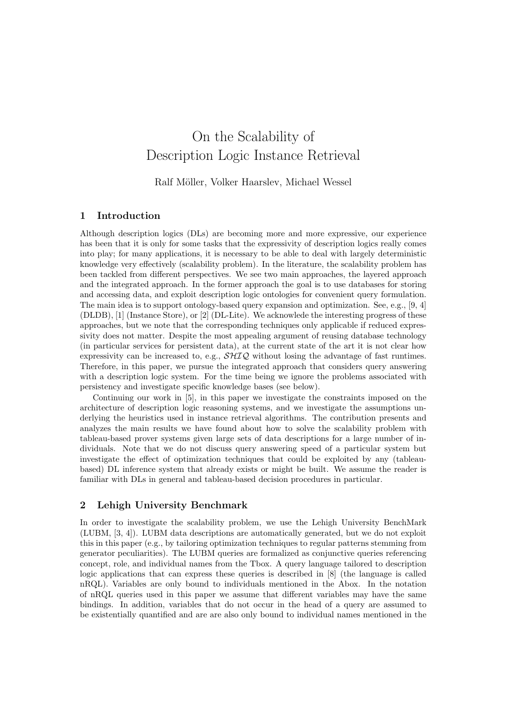# On the Scalability of Description Logic Instance Retrieval

Ralf Möller, Volker Haarslev, Michael Wessel

# 1 Introduction

Although description logics (DLs) are becoming more and more expressive, our experience has been that it is only for some tasks that the expressivity of description logics really comes into play; for many applications, it is necessary to be able to deal with largely deterministic knowledge very effectively (scalability problem). In the literature, the scalability problem has been tackled from different perspectives. We see two main approaches, the layered approach and the integrated approach. In the former approach the goal is to use databases for storing and accessing data, and exploit description logic ontologies for convenient query formulation. The main idea is to support ontology-based query expansion and optimization. See, e.g., [9, 4] (DLDB), [1] (Instance Store), or [2] (DL-Lite). We acknowlede the interesting progress of these approaches, but we note that the corresponding techniques only applicable if reduced expressivity does not matter. Despite the most appealing argument of reusing database technology (in particular services for persistent data), at the current state of the art it is not clear how expressivity can be increased to, e.g.,  $\mathcal{SHIQ}$  without losing the advantage of fast runtimes. Therefore, in this paper, we pursue the integrated approach that considers query answering with a description logic system. For the time being we ignore the problems associated with persistency and investigate specific knowledge bases (see below).

Continuing our work in [5], in this paper we investigate the constraints imposed on the architecture of description logic reasoning systems, and we investigate the assumptions underlying the heuristics used in instance retrieval algorithms. The contribution presents and analyzes the main results we have found about how to solve the scalability problem with tableau-based prover systems given large sets of data descriptions for a large number of individuals. Note that we do not discuss query answering speed of a particular system but investigate the effect of optimization techniques that could be exploited by any (tableaubased) DL inference system that already exists or might be built. We assume the reader is familiar with DLs in general and tableau-based decision procedures in particular.

## 2 Lehigh University Benchmark

In order to investigate the scalability problem, we use the Lehigh University BenchMark (LUBM, [3, 4]). LUBM data descriptions are automatically generated, but we do not exploit this in this paper (e.g., by tailoring optimization techniques to regular patterns stemming from generator peculiarities). The LUBM queries are formalized as conjunctive queries referencing concept, role, and individual names from the Tbox. A query language tailored to description logic applications that can express these queries is described in [8] (the language is called nRQL). Variables are only bound to individuals mentioned in the Abox. In the notation of nRQL queries used in this paper we assume that different variables may have the same bindings. In addition, variables that do not occur in the head of a query are assumed to be existentially quantified and are are also only bound to individual names mentioned in the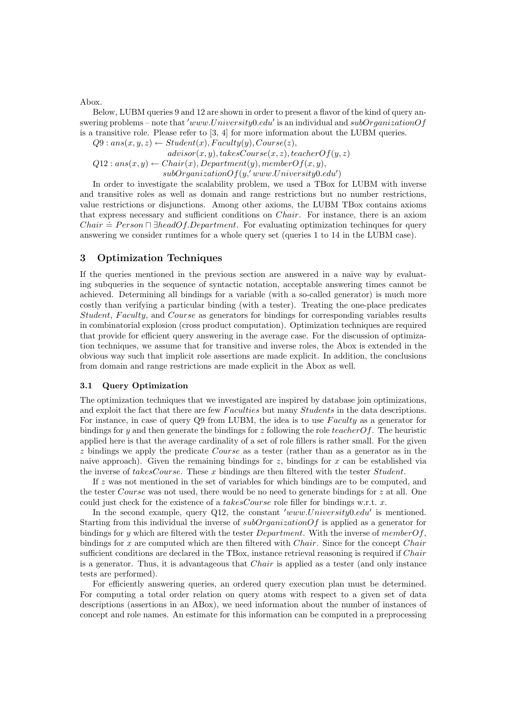Abox.

Below, LUBM queries 9 and 12 are shown in order to present a flavor of the kind of query answering problems – note that 'www.University0.edu' is an individual and subOrganizationOf is a transitive role. Please refer to  $[3, 4]$  for more information about the LUBM queries.

 $Q9: ans(x, y, z) \leftarrow Student(x), Faculty(y), Course(z),$ 

 $advisor(x, y)$ , takesCourse $(x, z)$ , teacherO $f(y, z)$ 

 $Q12: ans(x, y) \leftarrow Chair(x), Department(y), memberOf(x, y),$ 

 $subOrganizationOf(y, 'www. University 0.edu')$ 

In order to investigate the scalability problem, we used a TBox for LUBM with inverse and transitive roles as well as domain and range restrictions but no number restrictions, value restrictions or disjunctions. Among other axioms, the LUBM TBox contains axioms that express necessary and sufficient conditions on Chair. For instance, there is an axiom Chair  $\dot{=}$  Person  $\Box$  ∃headOf.Department. For evaluating optimization techinques for query answering we consider runtimes for a whole query set (queries 1 to 14 in the LUBM case).

# 3 Optimization Techniques

If the queries mentioned in the previous section are answered in a naive way by evaluating subqueries in the sequence of syntactic notation, acceptable answering times cannot be achieved. Determining all bindings for a variable (with a so-called generator) is much more costly than verifying a particular binding (with a tester). Treating the one-place predicates Student, Faculty, and Course as generators for bindings for corresponding variables results in combinatorial explosion (cross product computation). Optimization techniques are required that provide for efficient query answering in the average case. For the discussion of optimization techniques, we assume that for transitive and inverse roles, the Abox is extended in the obvious way such that implicit role assertions are made explicit. In addition, the conclusions from domain and range restrictions are made explicit in the Abox as well.

#### 3.1 Query Optimization

The optimization techniques that we investigated are inspired by database join optimizations, and exploit the fact that there are few *Faculties* but many *Students* in the data descriptions. For instance, in case of query  $Q9$  from LUBM, the idea is to use  $Faculty$  as a generator for bindings for y and then generate the bindings for z following the role teacher  $Of$ . The heuristic applied here is that the average cardinality of a set of role fillers is rather small. For the given z bindings we apply the predicate Course as a tester (rather than as a generator as in the naive approach). Given the remaining bindings for  $z$ , bindings for  $x$  can be established via the inverse of  $takesCourse$ . These x bindings are then filtered with the tester  $Student$ .

If z was not mentioned in the set of variables for which bindings are to be computed, and the tester *Course* was not used, there would be no need to generate bindings for  $z$  at all. One could just check for the existence of a *takesCourse* role filler for bindings w.r.t.  $x$ .

In the second example, query Q12, the constant 'www.University0.edu' is mentioned. Starting from this individual the inverse of *subOrganizationOf* is applied as a generator for bindings for y which are filtered with the tester Department. With the inverse of member  $Of$ , bindings for x are computed which are then filtered with *Chair*. Since for the concept *Chair* sufficient conditions are declared in the TBox, instance retrieval reasoning is required if *Chair* is a generator. Thus, it is advantageous that Chair is applied as a tester (and only instance tests are performed).

For efficiently answering queries, an ordered query execution plan must be determined. For computing a total order relation on query atoms with respect to a given set of data descriptions (assertions in an ABox), we need information about the number of instances of concept and role names. An estimate for this information can be computed in a preprocessing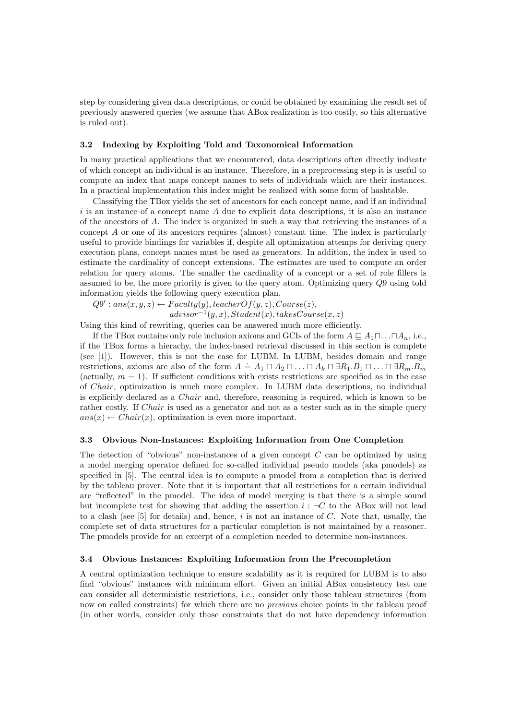step by considering given data descriptions, or could be obtained by examining the result set of previously answered queries (we assume that ABox realization is too costly, so this alternative is ruled out).

#### 3.2 Indexing by Exploiting Told and Taxonomical Information

In many practical applications that we encountered, data descriptions often directly indicate of which concept an individual is an instance. Therefore, in a preprocessing step it is useful to compute an index that maps concept names to sets of individuals which are their instances. In a practical implementation this index might be realized with some form of hashtable.

Classifying the TBox yields the set of ancestors for each concept name, and if an individual  $i$  is an instance of a concept name  $A$  due to explicit data descriptions, it is also an instance of the ancestors of A. The index is organized in such a way that retrieving the instances of a concept A or one of its ancestors requires (almost) constant time. The index is particularly useful to provide bindings for variables if, despite all optimization attemps for deriving query execution plans, concept names must be used as generators. In addition, the index is used to estimate the cardinality of concept extensions. The estimates are used to compute an order relation for query atoms. The smaller the cardinality of a concept or a set of role fillers is assumed to be, the more priority is given to the query atom. Optimizing query Q9 using told information yields the following query execution plan.

 $Q9': ans(x, y, z) \leftarrow Faculty(y), teacherOf(y, z), Course(z),$ 

 $advisor^{-1}(y, x)$ ,  $Student(x)$ ,  $takes Course(x, z)$ Using this kind of rewriting, queries can be answered much more efficiently.

If the TBox contains only role inclusion axioms and GCIs of the form  $A \subseteq A_1 \sqcap \ldots \sqcap A_n$ , i.e., if the TBox forms a hierachy, the index-based retrieval discussed in this section is complete (see [1]). However, this is not the case for LUBM. In LUBM, besides domain and range restrictions, axioms are also of the form  $A = A_1 \sqcap A_2 \sqcap ... \sqcap A_k \sqcap \exists R_1.B_1 \sqcap ... \sqcap \exists R_m.B_m$ (actually,  $m = 1$ ). If sufficient conditions with exists restrictions are specified as in the case of Chair, optimization is much more complex. In LUBM data descriptions, no individual is explicitly declared as a Chair and, therefore, reasoning is required, which is known to be rather costly. If *Chair* is used as a generator and not as a tester such as in the simple query  $ans(x) \leftarrow Chair(x)$ , optimization is even more important.

### 3.3 Obvious Non-Instances: Exploiting Information from One Completion

The detection of "obvious" non-instances of a given concept  $C$  can be optimized by using a model merging operator defined for so-called individual pseudo models (aka pmodels) as specified in [5]. The central idea is to compute a pmodel from a completion that is derived by the tableau prover. Note that it is important that all restrictions for a certain individual are "reflected" in the pmodel. The idea of model merging is that there is a simple sound but incomplete test for showing that adding the assertion  $i : \neg C$  to the ABox will not lead to a clash (see  $[5]$  for details) and, hence, i is not an instance of C. Note that, usually, the complete set of data structures for a particular completion is not maintained by a reasoner. The pmodels provide for an excerpt of a completion needed to determine non-instances.

#### 3.4 Obvious Instances: Exploiting Information from the Precompletion

A central optimization technique to ensure scalability as it is required for LUBM is to also find "obvious" instances with minimum effort. Given an initial ABox consistency test one can consider all deterministic restrictions, i.e., consider only those tableau structures (from now on called constraints) for which there are no *previous* choice points in the tableau proof (in other words, consider only those constraints that do not have dependency information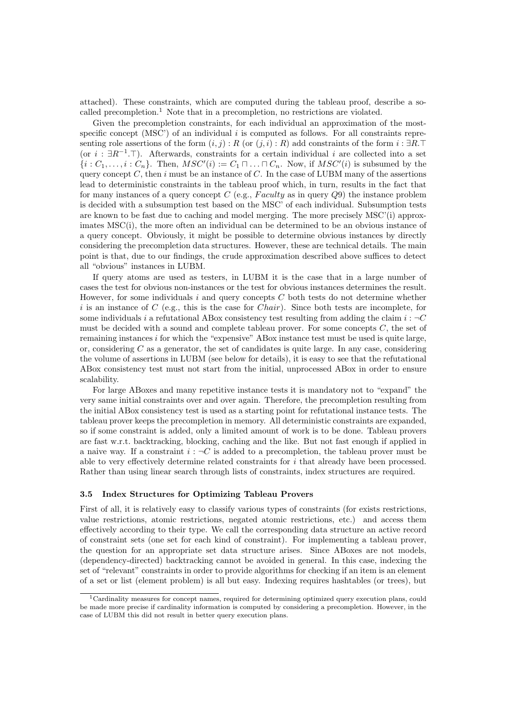attached). These constraints, which are computed during the tableau proof, describe a socalled precompletion.<sup>1</sup> Note that in a precompletion, no restrictions are violated.

Given the precompletion constraints, for each individual an approximation of the mostspecific concept (MSC') of an individual  $i$  is computed as follows. For all constraints representing role assertions of the form  $(i, j) : R$  (or  $(j, i) : R$ ) add constraints of the form  $i : \exists R.\top$ (or  $i : \exists R^{-1}$ . T). Afterwards, constraints for a certain individual i are collected into a set  $\{i : C_1, \ldots, i : C_n\}$ . Then,  $MSC'(i) := C_1 \sqcap \ldots \sqcap C_n$ . Now, if  $MSC'(i)$  is subsumed by the query concept C, then i must be an instance of C. In the case of LUBM many of the assertions lead to deterministic constraints in the tableau proof which, in turn, results in the fact that for many instances of a query concept  $C$  (e.g., *Faculty* as in query  $Q9$ ) the instance problem is decided with a subsumption test based on the MSC' of each individual. Subsumption tests are known to be fast due to caching and model merging. The more precisely MSC'(i) approximates MSC(i), the more often an individual can be determined to be an obvious instance of a query concept. Obviously, it might be possible to determine obvious instances by directly considering the precompletion data structures. However, these are technical details. The main point is that, due to our findings, the crude approximation described above suffices to detect all "obvious" instances in LUBM.

If query atoms are used as testers, in LUBM it is the case that in a large number of cases the test for obvious non-instances or the test for obvious instances determines the result. However, for some individuals i and query concepts  $C$  both tests do not determine whether i is an instance of C (e.g., this is the case for *Chair*). Since both tests are incomplete, for some individuals i a refutational ABox consistency test resulting from adding the claim  $i : \neg C$ must be decided with a sound and complete tableau prover. For some concepts  $C$ , the set of remaining instances  $i$  for which the "expensive" ABox instance test must be used is quite large, or, considering  $C$  as a generator, the set of candidates is quite large. In any case, considering the volume of assertions in LUBM (see below for details), it is easy to see that the refutational ABox consistency test must not start from the initial, unprocessed ABox in order to ensure scalability.

For large ABoxes and many repetitive instance tests it is mandatory not to "expand" the very same initial constraints over and over again. Therefore, the precompletion resulting from the initial ABox consistency test is used as a starting point for refutational instance tests. The tableau prover keeps the precompletion in memory. All deterministic constraints are expanded, so if some constraint is added, only a limited amount of work is to be done. Tableau provers are fast w.r.t. backtracking, blocking, caching and the like. But not fast enough if applied in a naive way. If a constraint  $i : \neg C$  is added to a precompletion, the tableau prover must be able to very effectively determine related constraints for  $i$  that already have been processed. Rather than using linear search through lists of constraints, index structures are required.

#### 3.5 Index Structures for Optimizing Tableau Provers

First of all, it is relatively easy to classify various types of constraints (for exists restrictions, value restrictions, atomic restrictions, negated atomic restrictions, etc.) and access them effectively according to their type. We call the corresponding data structure an active record of constraint sets (one set for each kind of constraint). For implementing a tableau prover, the question for an appropriate set data structure arises. Since ABoxes are not models, (dependency-directed) backtracking cannot be avoided in general. In this case, indexing the set of "relevant" constraints in order to provide algorithms for checking if an item is an element of a set or list (element problem) is all but easy. Indexing requires hashtables (or trees), but

<sup>1</sup>Cardinality measures for concept names, required for determining optimized query execution plans, could be made more precise if cardinality information is computed by considering a precompletion. However, in the case of LUBM this did not result in better query execution plans.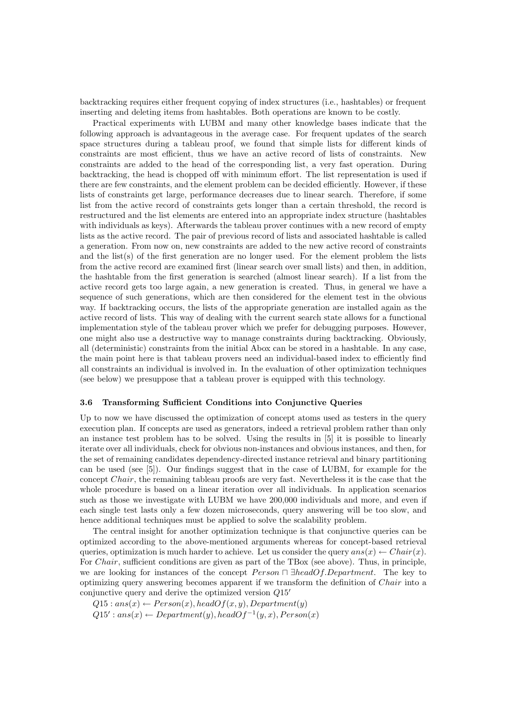backtracking requires either frequent copying of index structures (i.e., hashtables) or frequent inserting and deleting items from hashtables. Both operations are known to be costly.

Practical experiments with LUBM and many other knowledge bases indicate that the following approach is advantageous in the average case. For frequent updates of the search space structures during a tableau proof, we found that simple lists for different kinds of constraints are most efficient, thus we have an active record of lists of constraints. New constraints are added to the head of the corresponding list, a very fast operation. During backtracking, the head is chopped off with minimum effort. The list representation is used if there are few constraints, and the element problem can be decided efficiently. However, if these lists of constraints get large, performance decreases due to linear search. Therefore, if some list from the active record of constraints gets longer than a certain threshold, the record is restructured and the list elements are entered into an appropriate index structure (hashtables with individuals as keys). Afterwards the tableau prover continues with a new record of empty lists as the active record. The pair of previous record of lists and associated hashtable is called a generation. From now on, new constraints are added to the new active record of constraints and the list(s) of the first generation are no longer used. For the element problem the lists from the active record are examined first (linear search over small lists) and then, in addition, the hashtable from the first generation is searched (almost linear search). If a list from the active record gets too large again, a new generation is created. Thus, in general we have a sequence of such generations, which are then considered for the element test in the obvious way. If backtracking occurs, the lists of the appropriate generation are installed again as the active record of lists. This way of dealing with the current search state allows for a functional implementation style of the tableau prover which we prefer for debugging purposes. However, one might also use a destructive way to manage constraints during backtracking. Obviously, all (deterministic) constraints from the initial Abox can be stored in a hashtable. In any case, the main point here is that tableau provers need an individual-based index to efficiently find all constraints an individual is involved in. In the evaluation of other optimization techniques (see below) we presuppose that a tableau prover is equipped with this technology.

#### 3.6 Transforming Sufficient Conditions into Conjunctive Queries

Up to now we have discussed the optimization of concept atoms used as testers in the query execution plan. If concepts are used as generators, indeed a retrieval problem rather than only an instance test problem has to be solved. Using the results in [5] it is possible to linearly iterate over all individuals, check for obvious non-instances and obvious instances, and then, for the set of remaining candidates dependency-directed instance retrieval and binary partitioning can be used (see [5]). Our findings suggest that in the case of LUBM, for example for the concept Chair, the remaining tableau proofs are very fast. Nevertheless it is the case that the whole procedure is based on a linear iteration over all individuals. In application scenarios such as those we investigate with LUBM we have 200,000 individuals and more, and even if each single test lasts only a few dozen microseconds, query answering will be too slow, and hence additional techniques must be applied to solve the scalability problem.

The central insight for another optimization technique is that conjunctive queries can be optimized according to the above-mentioned arguments whereas for concept-based retrieval queries, optimization is much harder to achieve. Let us consider the query  $ans(x) \leftarrow Chair(x)$ . For *Chair*, sufficient conditions are given as part of the TBox (see above). Thus, in principle, we are looking for instances of the concept  $Person \sqcap \exists headOf.Department$ . The key to optimizing query answering becomes apparent if we transform the definition of Chair into a conjunctive query and derive the optimized version  $Q15'$ 

 $Q15: ans(x) \leftarrow Person(x), headOf(x, y), Department(y)$  $Q15': ans(x) \leftarrow Department(y), headOf^{-1}(y, x), Person(x)$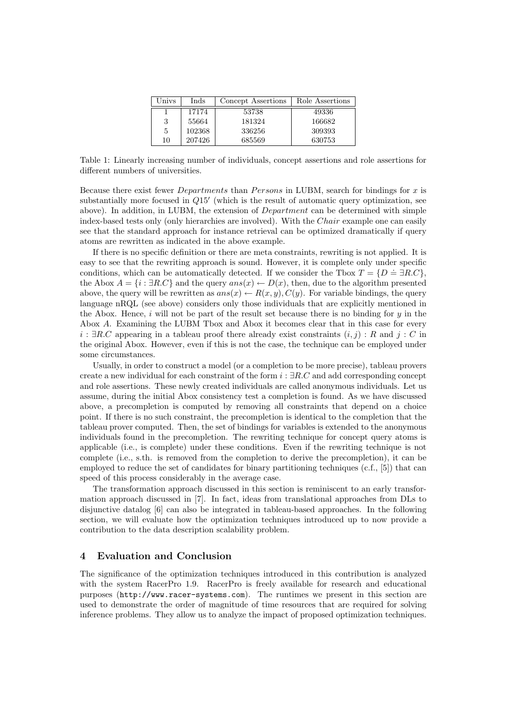| Univs | Inds   | Concept Assertions | Role Assertions |
|-------|--------|--------------------|-----------------|
|       | 17174  | 53738              | 49336           |
| 3     | 55664  | 181324             | 166682          |
| 5     | 102368 | 336256             | 309393          |
| 10    | 207426 | 685569             | 630753          |

Table 1: Linearly increasing number of individuals, concept assertions and role assertions for different numbers of universities.

Because there exist fewer *Departments* than *Persons* in LUBM, search for bindings for  $x$  is substantially more focused in  $Q15'$  (which is the result of automatic query optimization, see above). In addition, in LUBM, the extension of Department can be determined with simple index-based tests only (only hierarchies are involved). With the Chair example one can easily see that the standard approach for instance retrieval can be optimized dramatically if query atoms are rewritten as indicated in the above example.

If there is no specific definition or there are meta constraints, rewriting is not applied. It is easy to see that the rewriting approach is sound. However, it is complete only under specific conditions, which can be automatically detected. If we consider the Tbox  $T = \{D = \exists R.C\}$ , the Abox  $A = \{i : \exists R.C\}$  and the query  $ans(x) \leftarrow D(x)$ , then, due to the algorithm presented above, the query will be rewritten as  $ans(x) \leftarrow R(x, y), C(y)$ . For variable bindings, the query language nRQL (see above) considers only those individuals that are explicitly mentioned in the Abox. Hence, i will not be part of the result set because there is no binding for  $y$  in the Abox A. Examining the LUBM Tbox and Abox it becomes clear that in this case for every  $i : \exists R.C$  appearing in a tableau proof there already exist constraints  $(i, j) : R$  and  $j : C$  in the original Abox. However, even if this is not the case, the technique can be employed under some circumstances.

Usually, in order to construct a model (or a completion to be more precise), tableau provers create a new individual for each constraint of the form  $i : \exists R.C$  and add corresponding concept and role assertions. These newly created individuals are called anonymous individuals. Let us assume, during the initial Abox consistency test a completion is found. As we have discussed above, a precompletion is computed by removing all constraints that depend on a choice point. If there is no such constraint, the precompletion is identical to the completion that the tableau prover computed. Then, the set of bindings for variables is extended to the anonymous individuals found in the precompletion. The rewriting technique for concept query atoms is applicable (i.e., is complete) under these conditions. Even if the rewriting technique is not complete (i.e., s.th. is removed from the completion to derive the precompletion), it can be employed to reduce the set of candidates for binary partitioning techniques (c.f., [5]) that can speed of this process considerably in the average case.

The transformation approach discussed in this section is reminiscent to an early transformation approach discussed in [7]. In fact, ideas from translational approaches from DLs to disjunctive datalog [6] can also be integrated in tableau-based approaches. In the following section, we will evaluate how the optimization techniques introduced up to now provide a contribution to the data description scalability problem.

## 4 Evaluation and Conclusion

The significance of the optimization techniques introduced in this contribution is analyzed with the system RacerPro 1.9. RacerPro is freely available for research and educational purposes (http://www.racer-systems.com). The runtimes we present in this section are used to demonstrate the order of magnitude of time resources that are required for solving inference problems. They allow us to analyze the impact of proposed optimization techniques.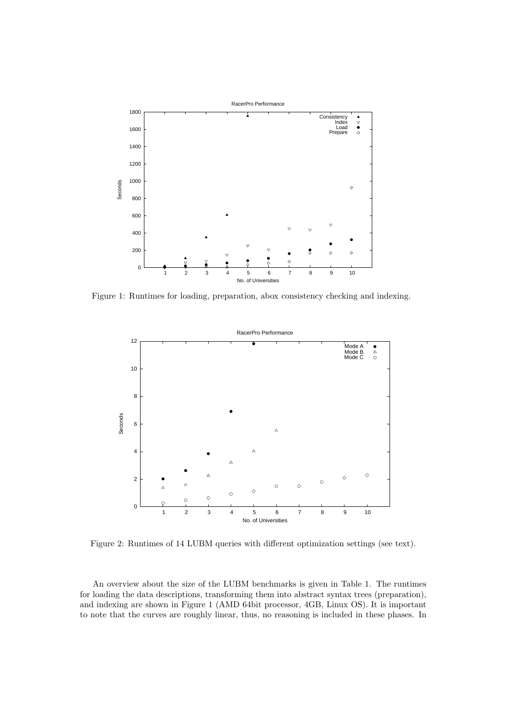

Figure 1: Runtimes for loading, preparation, abox consistency checking and indexing.



Figure 2: Runtimes of 14 LUBM queries with different optimization settings (see text).

An overview about the size of the LUBM benchmarks is given in Table 1. The runtimes for loading the data descriptions, transforming them into abstract syntax trees (preparation), and indexing are shown in Figure 1 (AMD 64bit processor, 4GB, Linux OS). It is important to note that the curves are roughly linear, thus, no reasoning is included in these phases. In